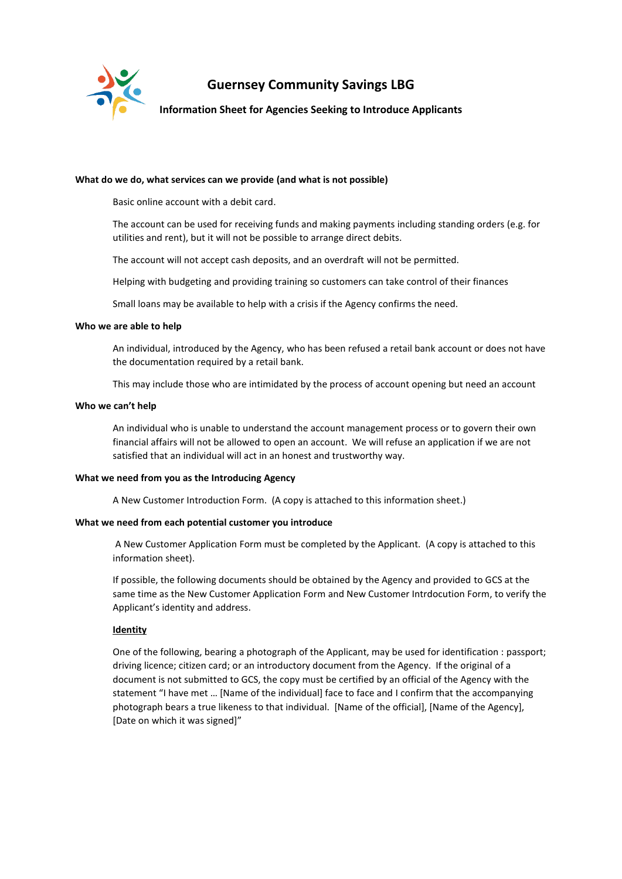

# **Guernsey Community Savings LBG**

# **Information Sheet for Agencies Seeking to Introduce Applicants**

#### **What do we do, what services can we provide (and what is not possible)**

Basic online account with a debit card.

The account can be used for receiving funds and making payments including standing orders (e.g. for utilities and rent), but it will not be possible to arrange direct debits.

The account will not accept cash deposits, and an overdraft will not be permitted.

Helping with budgeting and providing training so customers can take control of their finances

Small loans may be available to help with a crisis if the Agency confirms the need.

#### **Who we are able to help**

An individual, introduced by the Agency, who has been refused a retail bank account or does not have the documentation required by a retail bank.

This may include those who are intimidated by the process of account opening but need an account

#### **Who we can't help**

An individual who is unable to understand the account management process or to govern their own financial affairs will not be allowed to open an account. We will refuse an application if we are not satisfied that an individual will act in an honest and trustworthy way.

#### **What we need from you as the Introducing Agency**

A New Customer Introduction Form. (A copy is attached to this information sheet.)

## **What we need from each potential customer you introduce**

A New Customer Application Form must be completed by the Applicant. (A copy is attached to this information sheet).

If possible, the following documents should be obtained by the Agency and provided to GCS at the same time as the New Customer Application Form and New Customer Intrdocution Form, to verify the Applicant's identity and address.

## **Identity**

One of the following, bearing a photograph of the Applicant, may be used for identification : passport; driving licence; citizen card; or an introductory document from the Agency. If the original of a document is not submitted to GCS, the copy must be certified by an official of the Agency with the statement "I have met … [Name of the individual] face to face and I confirm that the accompanying photograph bears a true likeness to that individual. [Name of the official], [Name of the Agency], [Date on which it was signed]"